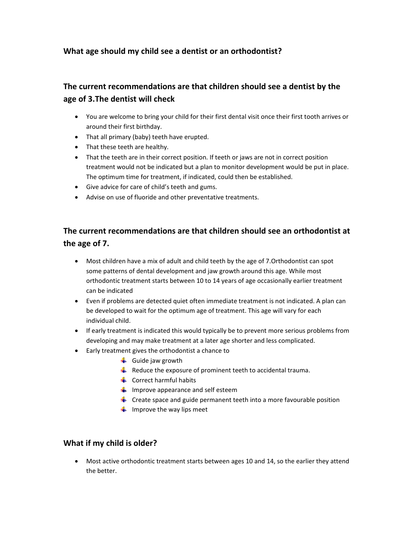## **What age should my child see a dentist or an orthodontist?**

# **The current recommendations are that children should see a dentist by the age of 3.The dentist will check**

- You are welcome to bring your child for their first dental visit once their first tooth arrives or around their first birthday.
- That all primary (baby) teeth have erupted.
- That these teeth are healthy.
- That the teeth are in their correct position. If teeth or jaws are not in correct position treatment would not be indicated but a plan to monitor development would be put in place. The optimum time for treatment, if indicated, could then be established.
- Give advice for care of child's teeth and gums.
- Advise on use of fluoride and other preventative treatments.

## **The current recommendations are that children should see an orthodontist at the age of 7.**

- Most children have a mix of adult and child teeth by the age of 7.Orthodontist can spot some patterns of dental development and jaw growth around this age. While most orthodontic treatment starts between 10 to 14 years of age occasionally earlier treatment can be indicated
- Even if problems are detected quiet often immediate treatment is not indicated. A plan can be developed to wait for the optimum age of treatment. This age will vary for each individual child.
- If early treatment is indicated this would typically be to prevent more serious problems from developing and may make treatment at a later age shorter and less complicated.
- Early treatment gives the orthodontist a chance to
	- $\frac{1}{\sqrt{2}}$  Guide jaw growth
	- $\downarrow$  Reduce the exposure of prominent teeth to accidental trauma.
	- $\frac{1}{2}$  Correct harmful habits
	- $\downarrow$  Improve appearance and self esteem
	- $\ddot{\bullet}$  Create space and guide permanent teeth into a more favourable position
	- $\frac{1}{\sqrt{2}}$  Improve the way lips meet

## **What if my child is older?**

 Most active orthodontic treatment starts between ages 10 and 14, so the earlier they attend the better.